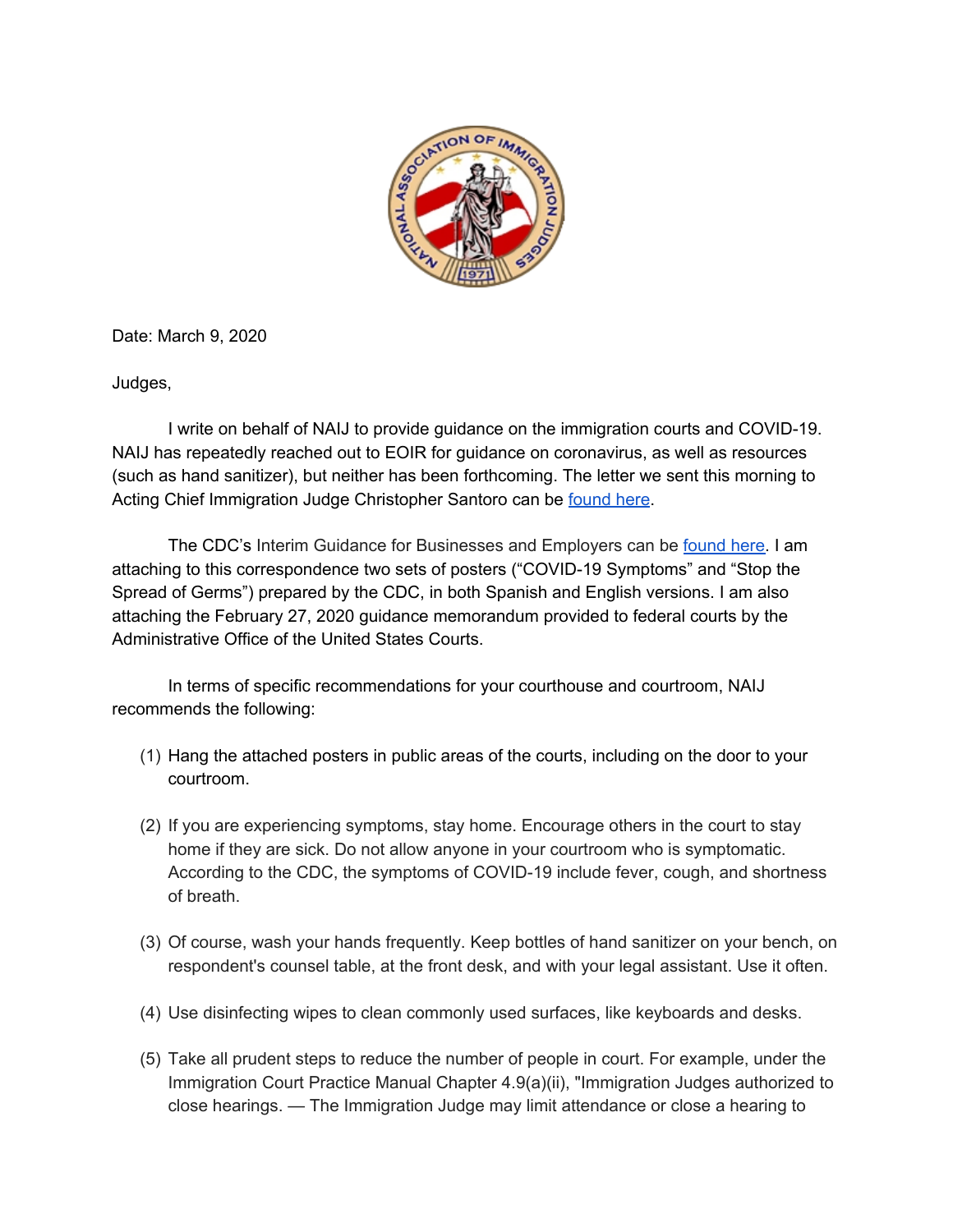

Date: March 9, 2020

Judges,

I write on behalf of NAIJ to provide guidance on the immigration courts and COVID-19. NAIJ has repeatedly reached out to EOIR for guidance on coronavirus, as well as resources (such as hand sanitizer), but neither has been forthcoming. The letter we sent this morning to Acting Chief Immigration Judge Christopher Santoro can be [found](https://www.naij-usa.org/images/uploads/newsroom/NAIJ_Correspondence_to_EOIR_Re_Coronavirus.pdf) here.

The CDC's Interim Guidance for Businesses and Employers can be [found](https://www.cdc.gov/coronavirus/2019-ncov/community/guidance-business-response.html) here. I am attaching to this correspondence two sets of posters ("COVID-19 Symptoms" and "Stop the Spread of Germs") prepared by the CDC, in both Spanish and English versions. I am also attaching the February 27, 2020 guidance memorandum provided to federal courts by the Administrative Office of the United States Courts.

In terms of specific recommendations for your courthouse and courtroom, NAIJ recommends the following:

- (1) Hang the attached posters in public areas of the courts, including on the door to your courtroom.
- (2) If you are experiencing symptoms, stay home. Encourage others in the court to stay home if they are sick. Do not allow anyone in your courtroom who is symptomatic. According to the CDC, the symptoms of COVID-19 include fever, cough, and shortness of breath.
- (3) Of course, wash your hands frequently. Keep bottles of hand sanitizer on your bench, on respondent's counsel table, at the front desk, and with your legal assistant. Use it often.
- (4) Use disinfecting wipes to clean commonly used surfaces, like keyboards and desks.
- (5) Take all prudent steps to reduce the number of people in court. For example, under the Immigration Court Practice Manual Chapter 4.9(a)(ii), "Immigration Judges authorized to close hearings. — The Immigration Judge may limit attendance or close a hearing to